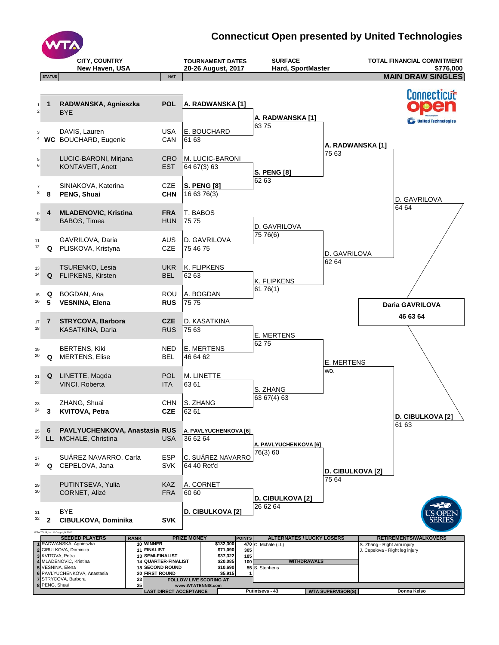

## **Connecticut Open presented by United Technologies**

|                       |                                 | <b>CITY, COUNTRY</b><br>New Haven, USA                                                                                                                                                                                |                                                                                      | <b>TOURNAMENT DATES</b><br>20-26 August, 2017                                                                                              | <b>SURFACE</b><br><b>Hard, SportMaster</b>                 |                          |                                                               | <b>TOTAL FINANCIAL COMMITMENT</b><br>\$776,000 |
|-----------------------|---------------------------------|-----------------------------------------------------------------------------------------------------------------------------------------------------------------------------------------------------------------------|--------------------------------------------------------------------------------------|--------------------------------------------------------------------------------------------------------------------------------------------|------------------------------------------------------------|--------------------------|---------------------------------------------------------------|------------------------------------------------|
|                       | <b>STATUS</b>                   |                                                                                                                                                                                                                       | <b>NAT</b>                                                                           |                                                                                                                                            |                                                            |                          |                                                               | <b>MAIN DRAW SINGLES</b>                       |
| 1<br>$\boldsymbol{2}$ | $\mathbf{1}$                    | RADWANSKA, Agnieszka<br><b>BYE</b>                                                                                                                                                                                    | <b>POL</b>                                                                           | A. RADWANSKA [1]                                                                                                                           |                                                            |                          |                                                               | Connecticut                                    |
| 3                     |                                 | DAVIS, Lauren<br><sup>4</sup> WC BOUCHARD, Eugenie                                                                                                                                                                    | <b>USA</b><br>CAN                                                                    | E. BOUCHARD<br>61 63                                                                                                                       | A. RADWANSKA [1]<br>6375                                   | A. RADWANSKA [1]         |                                                               | <b>United Technologies</b>                     |
| 5<br>6                |                                 | LUCIC-BARONI, Mirjana<br>KONTAVEIT, Anett                                                                                                                                                                             | <b>CRO</b><br><b>EST</b>                                                             | M. LUCIC-BARONI<br>64 67(3) 63                                                                                                             | <b>S. PENG [8]</b>                                         | 75 63                    |                                                               |                                                |
| 7<br>8                | 8                               | SINIAKOVA, Katerina<br>PENG, Shuai                                                                                                                                                                                    | <b>CZE</b><br><b>CHN</b>                                                             | <b>S. PENG [8]</b><br>16 63 76(3)                                                                                                          | 62 63                                                      |                          |                                                               | D. GAVRILOVA                                   |
| 9<br>10               | 4                               | <b>MLADENOVIC, Kristina</b><br>BABOS, Timea                                                                                                                                                                           | <b>FRA</b><br><b>HUN</b>                                                             | T. BABOS<br>7575                                                                                                                           | D. GAVRILOVA                                               |                          |                                                               | 64 64                                          |
| 11<br>12              | Q                               | GAVRILOVA, Daria<br>PLISKOVA, Kristyna                                                                                                                                                                                | <b>AUS</b><br><b>CZE</b>                                                             | D. GAVRILOVA<br>75 46 75                                                                                                                   | 75 76(6)                                                   | D. GAVRILOVA             |                                                               |                                                |
| 13<br>14              | Q                               | <b>TSURENKO, Lesia</b><br>FLIPKENS, Kirsten                                                                                                                                                                           | <b>UKR</b><br><b>BEL</b>                                                             | K. FLIPKENS<br>62 63                                                                                                                       | K. FLIPKENS                                                | 62 64                    |                                                               |                                                |
| 15<br>16              | Q<br>5                          | BOGDAN, Ana<br><b>VESNINA, Elena</b>                                                                                                                                                                                  | <b>ROU</b><br><b>RUS</b>                                                             | A. BOGDAN<br>75 75                                                                                                                         | 6176(1)                                                    |                          |                                                               | Daria GAVRILOVA                                |
| 17<br>18              | 7                               | <b>STRYCOVA, Barbora</b><br>KASATKINA, Daria                                                                                                                                                                          | <b>CZE</b><br><b>RUS</b>                                                             | D. KASATKINA<br>75 63                                                                                                                      | E. MERTENS                                                 |                          |                                                               | 46 63 64                                       |
| 19<br>20              | Q                               | <b>BERTENS, Kiki</b><br><b>MERTENS, Elise</b>                                                                                                                                                                         | <b>NED</b><br><b>BEL</b>                                                             | <b>E. MERTENS</b><br>46 64 62                                                                                                              | 6275                                                       | <b>E. MERTENS</b>        |                                                               |                                                |
| 21<br>22              | Q                               | LINETTE, Magda<br>VINCI, Roberta                                                                                                                                                                                      | POL<br><b>ITA</b>                                                                    | M. LINETTE<br>63 61                                                                                                                        | S. ZHANG                                                   | WO.                      |                                                               |                                                |
| 23<br>24              | 3                               | ZHANG, Shuai<br><b>KVITOVA, Petra</b>                                                                                                                                                                                 | CHN<br><b>CZE</b>                                                                    | S. ZHANG<br>62 61                                                                                                                          | 63 67(4) 63                                                |                          |                                                               | <b>D. CIBULKOVA [2]</b>                        |
| 25<br>26              | 6                               | PAVLYUCHENKOVA, Anastasia RUS<br>LL MCHALE, Christina                                                                                                                                                                 | <b>USA</b>                                                                           | A. PAVLYUCHENKOVA [6]<br>36 62 64                                                                                                          | A. PAVLYUCHENKOVA [6]                                      |                          |                                                               | 61 63                                          |
| 27<br>28              | Q                               | SUÁREZ NAVARRO, Carla<br>CEPELOVA, Jana                                                                                                                                                                               | <b>ESP</b><br><b>SVK</b>                                                             | C. SUÁREZ NAVARRO<br>64 40 Ret'd                                                                                                           | 76(3) 60                                                   | <b>D. CIBULKOVA [2]</b>  |                                                               |                                                |
| 29<br>30              |                                 | PUTINTSEVA, Yulia<br>CORNET, Alizé                                                                                                                                                                                    | KAZ<br><b>FRA</b>                                                                    | A. CORNET<br>60 60                                                                                                                         | <b>D. CIBULKOVA [2]</b>                                    | 75 64                    |                                                               |                                                |
| 31<br>32              | $\mathbf{2}$                    | BYE<br>CIBULKOVA, Dominika                                                                                                                                                                                            | <b>SVK</b>                                                                           | D. CIBULKOVA [2]                                                                                                                           | 26 62 64                                                   |                          |                                                               |                                                |
|                       | WTA TOUR, Inc. C Copyright 2016 | <b>SEEDED PLAYERS</b><br><b>RANK</b>                                                                                                                                                                                  |                                                                                      | <b>PRIZE MONEY</b><br><b>POINTS</b>                                                                                                        | <b>ALTERNATES / LUCKY LOSERS</b>                           |                          |                                                               | <b>RETIREMENTS/WALKOVERS</b>                   |
|                       |                                 | 1 RADWANSKA, Agnieszka<br>10 WINNER<br>2 CIBULKOVA, Dominika<br>11 FINALIST<br>3 KVITOVA, Petra<br>4 MLADENOVIC, Kristina<br>5 VESNINA, Elena<br>18<br>6 PAVLYUCHENKOVA, Anastasia<br>20<br>7 STRYCOVA, Barbora<br>23 | 13 SEMI-FINALIST<br>14 QUARTER-FINALIST<br><b>SECOND ROUND</b><br><b>FIRST ROUND</b> | \$132,300<br>\$71,090<br>305<br>\$37,322<br>185<br>\$20,085<br>100<br>\$10,690<br>\$5,915<br>$\mathbf{1}$<br><b>FOLLOW LIVE SCORING AT</b> | 470 C. Mchale (LL)<br><b>WITHDRAWALS</b><br>55 S. Stephens |                          | S. Zhang - Right arm injury<br>J. Cepelova - Right leg injury |                                                |
|                       | 8 PENG, Shuai                   | 25                                                                                                                                                                                                                    | <b>LAST DIRECT ACCEPTANCE</b>                                                        | www.WTATENNIS.com                                                                                                                          | Putintseva - 43                                            | <b>WTA SUPERVISOR(S)</b> |                                                               | Donna Kelso                                    |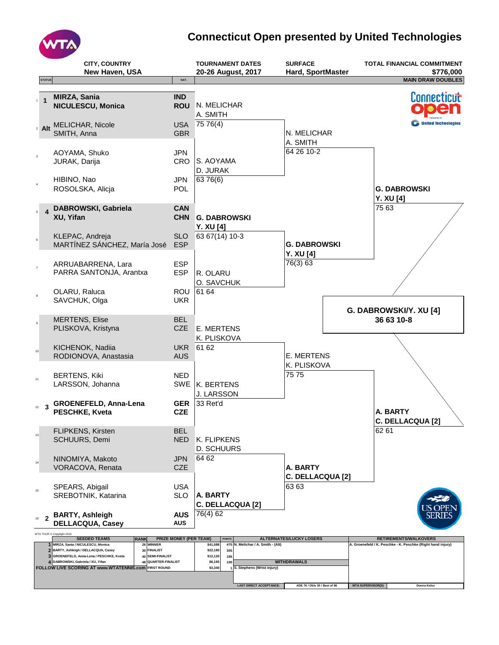

## **Connecticut Open presented by United Technologies**

|                         | <b>STATUS</b>            | <b>CITY, COUNTRY</b><br>New Haven, USA                                                                                                                                                                                                                                                 | NAT.                          | <b>TOURNAMENT DATES</b><br>20-26 August, 2017                                                                                                        | <b>SURFACE</b><br>Hard, SportMaster     | <b>TOTAL FINANCIAL COMMITMENT</b><br>\$776,000<br><b>MAIN DRAW DOUBLES</b> |
|-------------------------|--------------------------|----------------------------------------------------------------------------------------------------------------------------------------------------------------------------------------------------------------------------------------------------------------------------------------|-------------------------------|------------------------------------------------------------------------------------------------------------------------------------------------------|-----------------------------------------|----------------------------------------------------------------------------|
|                         |                          |                                                                                                                                                                                                                                                                                        |                               |                                                                                                                                                      |                                         |                                                                            |
| $\mathbf{1}$            | $\overline{1}$           | MIRZA, Sania<br>NICULESCU, Monica                                                                                                                                                                                                                                                      | <b>IND</b>                    | ROU N. MELICHAR<br>A. SMITH                                                                                                                          |                                         | Connecticut                                                                |
|                         |                          | 2 Alt MELICHAR, Nicole<br>SMITH, Anna                                                                                                                                                                                                                                                  | <b>USA</b><br><b>GBR</b>      | 7576(4)                                                                                                                                              | N. MELICHAR                             | <b>C</b> United Technologies                                               |
| $\overline{\mathbf{3}}$ |                          | AOYAMA, Shuko<br>JURAK, Darija                                                                                                                                                                                                                                                         | <b>JPN</b><br><b>CRO</b>      | S. AOYAMA<br>D. JURAK                                                                                                                                | A. SMITH<br>64 26 10-2                  |                                                                            |
| $\overline{4}$          |                          | HIBINO, Nao<br>ROSOLSKA, Alicja                                                                                                                                                                                                                                                        | <b>JPN</b><br><b>POL</b>      | 63 76(6)                                                                                                                                             |                                         | <b>G. DABROWSKI</b><br><b>Y. XU [4]</b>                                    |
| $\mathsf{s}$            | $\overline{\mathbf{4}}$  | DABROWSKI, Gabriela<br>XU, Yifan                                                                                                                                                                                                                                                       | <b>CAN</b>                    | CHN G. DABROWSKI<br><b>Y. XU [4]</b>                                                                                                                 |                                         | 75 63                                                                      |
| $6\phantom{a}$          |                          | KLEPAC, Andreja<br>MARTÍNEZ SÁNCHEZ, María José                                                                                                                                                                                                                                        | <b>SLO</b><br><b>ESP</b>      | 63 67(14) 10-3                                                                                                                                       | <b>G. DABROWSKI</b><br><b>Y. XU [4]</b> |                                                                            |
| $\overline{\mathbf{z}}$ |                          | ARRUABARRENA, Lara<br>PARRA SANTONJA, Arantxa                                                                                                                                                                                                                                          | <b>ESP</b><br><b>ESP</b>      | R. OLARU<br>O. SAVCHUK                                                                                                                               | 76(3) 63                                |                                                                            |
| $^{\rm 8}$              |                          | OLARU, Raluca<br>SAVCHUK, Olga                                                                                                                                                                                                                                                         | ROU<br><b>UKR</b>             | 61 64                                                                                                                                                |                                         | G. DABROWSKI/Y. XU [4]                                                     |
| $\mathsf g$             |                          | <b>MERTENS, Elise</b><br>PLISKOVA, Kristyna                                                                                                                                                                                                                                            | <b>BEL</b><br><b>CZE</b>      | <b>E. MERTENS</b><br>K. PLISKOVA                                                                                                                     |                                         | 36 63 10-8                                                                 |
| 10                      |                          | KICHENOK, Nadiia<br>RODIONOVA, Anastasia                                                                                                                                                                                                                                               | <b>AUS</b>                    | UKR 6162                                                                                                                                             | E. MERTENS<br>K. PLISKOVA               |                                                                            |
| 11                      |                          | <b>BERTENS, Kiki</b><br>LARSSON, Johanna                                                                                                                                                                                                                                               | <b>NED</b>                    | SWE   K. BERTENS<br>J. LARSSON                                                                                                                       | 75 75                                   |                                                                            |
| 12                      | $\mathbf{3}$             | <b>GROENEFELD, Anna-Lena</b><br>PESCHKE, Kveta                                                                                                                                                                                                                                         | <b>GER</b><br><b>CZE</b>      | 33 Ret'd                                                                                                                                             |                                         | A. BARTY<br>C. DELLACQUA [2]                                               |
| $13$                    |                          | FLIPKENS, Kirsten<br><b>SCHUURS, Demi</b>                                                                                                                                                                                                                                              | BEL<br><b>NED</b>             | K. FLIPKENS<br><b>D. SCHUURS</b>                                                                                                                     |                                         | 62 61                                                                      |
| $14\,$                  |                          | NINOMIYA, Makoto<br>VORACOVA, Renata                                                                                                                                                                                                                                                   | <b>JPN</b><br><b>CZE</b>      | 64 62                                                                                                                                                | A. BARTY<br>C. DELLACQUA [2]            |                                                                            |
| 15                      |                          | SPEARS, Abigail<br>SREBOTNIK, Katarina                                                                                                                                                                                                                                                 | USA<br><b>SLO</b>             | A. BARTY<br>C. DELLACQUA [2]                                                                                                                         | 63 63                                   |                                                                            |
| 16                      | $\overline{\phantom{a}}$ | <b>BARTY, Ashleigh</b><br><b>DELLACQUA, Casey</b>                                                                                                                                                                                                                                      | <b>AUS</b><br>AUS             | 76(4) 62                                                                                                                                             |                                         |                                                                            |
|                         |                          | WTA TOUR @ Copyright 2016<br><b>SEEDED TEAMS</b><br><b>RANK</b>                                                                                                                                                                                                                        | <b>PRIZE MONEY (PER TEAM)</b> | <b>POINTS</b>                                                                                                                                        | <b>ALTERNATES/LUCKY LOSERS</b>          | RETIREMENTS/WALKOVERS                                                      |
|                         | $\mathbf{2}$             | 26 WINNER<br>1 MIRZA, Sania / NICULESCU, Monica<br>BARTY, Ashleigh / DELLACQUA, Casey<br>30 FINALIST<br>3 GROENEFELD, Anna-Lena / PESCHKE, Kveta<br>40 SEMI-FINALIST<br>48 QUARTER-FINALIST<br>DABROWSKI, Gabriela / XU, Yifan<br>FOLLOW LIVE SCORING AT www.WTATENNIS.com FIRST ROUND |                               | N. Melichar / A. Smith - (Alt)<br>\$41,588<br>470<br>\$22,180<br>305<br>\$12,120<br>185<br>\$6,165<br>100<br>\$3,340<br>1 S. Stephens (Wrist injury) | <b>WITHDRAWALS</b>                      | A. Groenefeld / K. Peschke - K. Peschke (Right hand injury)                |
|                         |                          |                                                                                                                                                                                                                                                                                        |                               | <b>LAST DIRECT ACCEPTANCE:</b>                                                                                                                       | ADE 76 / Dbls 30 / Best of 96           | <b>WTA SUPERVISOR(S)</b><br>Donna Kelso                                    |